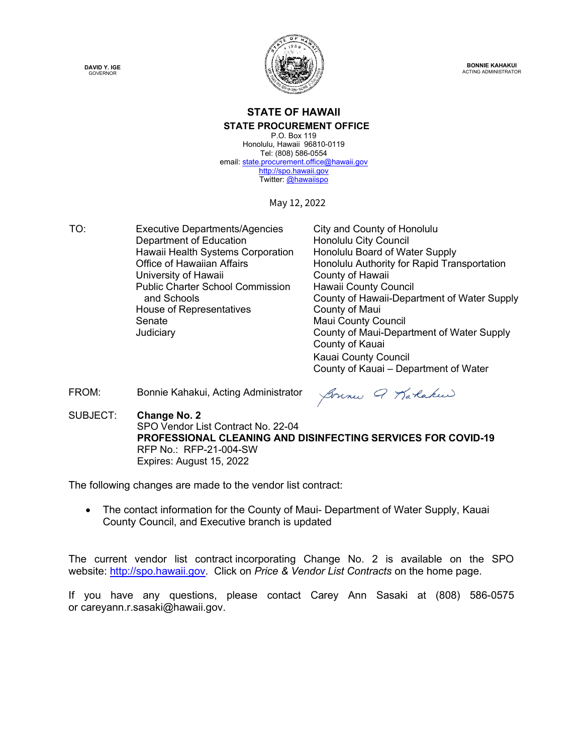



**BONNIE KAHAKUI** ACTING ADMINISTRATOR

## **STATE OF HAWAII STATE PROCUREMENT OFFICE**

P.O. Box 119 Honolulu, Hawaii 96810-0119 Tel: (808) 586-0554 email[: state.procurement.office@hawaii.gov](mailto:state.procurement.office@hawaii.gov) [http://spo.hawaii.gov](http://spo.hawaii.gov/) Twitter: [@hawaiispo](https://twitter.com/hawaiispo)

May 12, 2022

TO: Executive Departments/Agencies City and County of Honolulu<br>Department of Education Honolulu City Council Department of Education<br>
Honolulu City Council<br>
Honolulu Board of Water Supply Hawaii Health Systems Corporation<br>Office of Hawaiian Affairs University of Hawaii **County of Hawaii** Public Charter School Commission and Schools House of Representatives **County of Maui** Senate Maui County Council

Honolulu Authority for Rapid Transportation Hawaii County Council County of Hawaii-Department of Water Supply Judiciary County of Maui-Department of Water Supply County of Kauai Kauai County Council County of Kauai – Department of Water

FROM: Bonnie Kahakui, Acting Administrator

Sonne Q Karakee

SUBJECT: **Change No. 2** SPO Vendor List Contract No. 22-04 **PROFESSIONAL CLEANING AND DISINFECTING SERVICES FOR COVID-19** RFP No.:RFP-21-004-SW Expires: August 15, 2022

The following changes are made to the vendor list contract:

• The contact information for the County of Maui- Department of Water Supply, Kauai County Council, and Executive branch is updated

The current vendor list contract incorporating Change No. 2 is available on the SPO website: [http://spo.hawaii.gov.](http://spo.hawaii.gov/) Click on *Price & Vendor List Contracts* on the home page.

If you have any questions, please contact Carey Ann Sasaki at (808) 586-0575 or careyann.r.sasaki@hawaii.gov.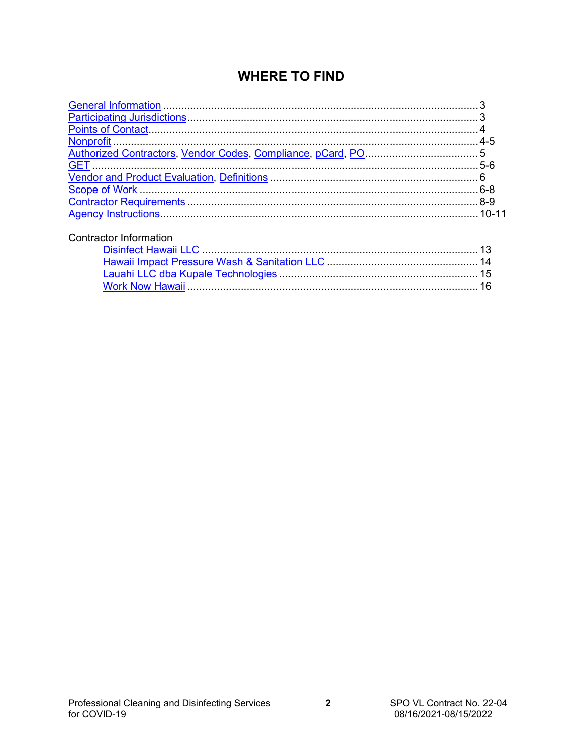## **WHERE TO FIND**

| <b>Contractor Information</b> |  |
|-------------------------------|--|
|                               |  |
|                               |  |
|                               |  |
|                               |  |
|                               |  |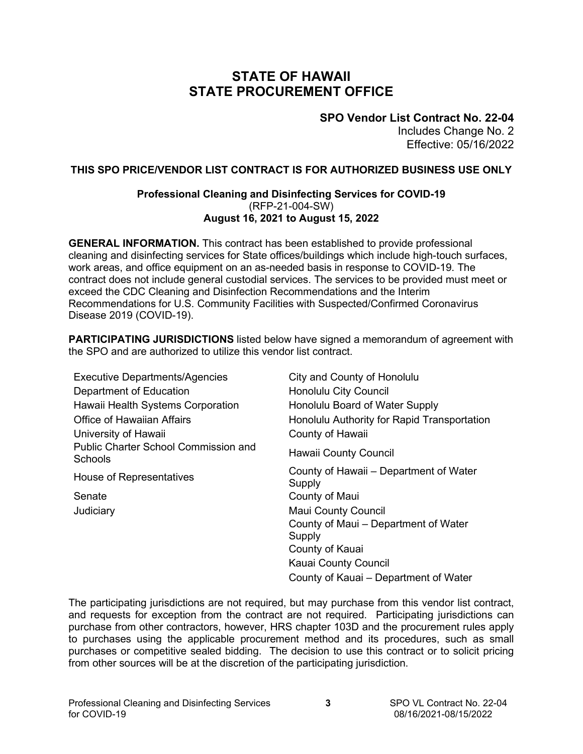## **STATE OF HAWAII STATE PROCUREMENT OFFICE**

**SPO Vendor List Contract No. 22-04**

Includes Change No. 2 Effective: 05/16/2022

## <span id="page-2-0"></span>**THIS SPO PRICE/VENDOR LIST CONTRACT IS FOR AUTHORIZED BUSINESS USE ONLY**

#### **Professional Cleaning and Disinfecting Services for COVID-19** (RFP-21-004-SW) **August 16, 2021 to August 15, 2022**

**GENERAL INFORMATION.** This contract has been established to provide professional cleaning and disinfecting services for State offices/buildings which include high-touch surfaces, work areas, and office equipment on an as-needed basis in response to COVID-19. The contract does not include general custodial services. The services to be provided must meet or exceed the CDC Cleaning and Disinfection Recommendations and the Interim Recommendations for U.S. Community Facilities with Suspected/Confirmed Coronavirus Disease 2019 (COVID-19).

**PARTICIPATING JURISDICTIONS** listed below have signed a memorandum of agreement with the SPO and are authorized to utilize this vendor list contract.

| <b>Executive Departments/Agencies</b>                  | City and County of Honolulu                      |
|--------------------------------------------------------|--------------------------------------------------|
| Department of Education                                | Honolulu City Council                            |
| Hawaii Health Systems Corporation                      | Honolulu Board of Water Supply                   |
| <b>Office of Hawaiian Affairs</b>                      | Honolulu Authority for Rapid Transportation      |
| University of Hawaii                                   | County of Hawaii                                 |
| <b>Public Charter School Commission and</b><br>Schools | Hawaii County Council                            |
| House of Representatives                               | County of Hawaii – Department of Water<br>Supply |
| Senate                                                 | County of Maui                                   |
| Judiciary                                              | <b>Maui County Council</b>                       |
|                                                        | County of Maui – Department of Water<br>Supply   |
|                                                        | County of Kauai                                  |
|                                                        | Kauai County Council                             |
|                                                        | County of Kauai – Department of Water            |

The participating jurisdictions are not required, but may purchase from this vendor list contract, and requests for exception from the contract are not required. Participating jurisdictions can purchase from other contractors, however, HRS chapter 103D and the procurement rules apply to purchases using the applicable procurement method and its procedures, such as small purchases or competitive sealed bidding. The decision to use this contract or to solicit pricing from other sources will be at the discretion of the participating jurisdiction.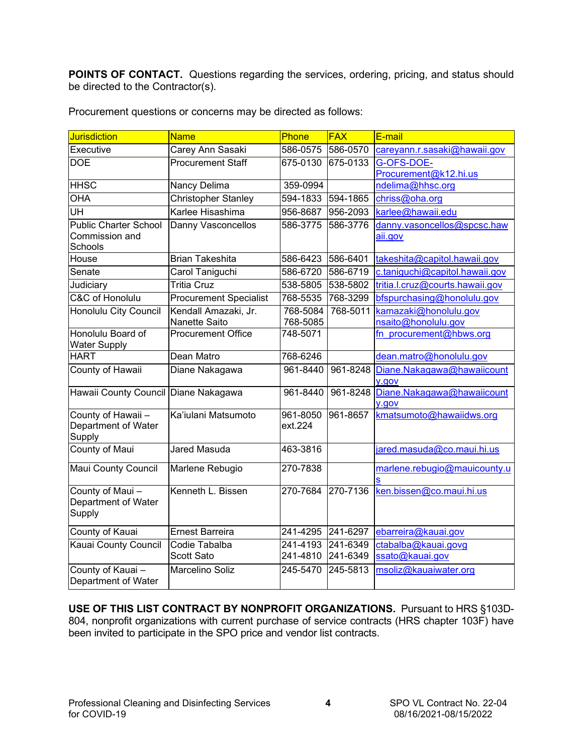<span id="page-3-0"></span>**POINTS OF CONTACT.** Questions regarding the services, ordering, pricing, and status should be directed to the Contractor(s).

| Jurisdiction                                              | <b>Name</b>                   | Phone               | <b>FAX</b> | E-mail                                 |
|-----------------------------------------------------------|-------------------------------|---------------------|------------|----------------------------------------|
| Executive                                                 | Carey Ann Sasaki              | 586-0575            | 586-0570   | careyann.r.sasaki@hawaii.gov           |
| <b>DOE</b>                                                | <b>Procurement Staff</b>      | 675-0130            | 675-0133   | G-OFS-DOE-                             |
|                                                           |                               |                     |            | Procurement@k12.hi.us                  |
| <b>HHSC</b>                                               | Nancy Delima                  | 359-0994            |            | ndelima@hhsc.org                       |
| <b>OHA</b>                                                | <b>Christopher Stanley</b>    | 594-1833            | 594-1865   | chriss@oha.org                         |
|                                                           | Karlee Hisashima              | 956-8687            | 956-2093   | karlee@hawaii.edu                      |
| <b>Public Charter School</b><br>Commission and<br>Schools | Danny Vasconcellos            | 586-3775            | 586-3776   | danny.vasoncellos@spcsc.haw<br>aii.gov |
| House                                                     | <b>Brian Takeshita</b>        | 586-6423            | 586-6401   | takeshita@capitol.hawaii.gov           |
| Senate                                                    | Carol Taniguchi               | 586-6720            | 586-6719   | c.taniquchi@capitol.hawaii.gov         |
| Judiciary                                                 | <b>Tritia Cruz</b>            | 538-5805            | 538-5802   | tritia.l.cruz@courts.hawaii.gov        |
| <b>C&amp;C of Honolulu</b>                                | <b>Procurement Specialist</b> | 768-5535            | 768-3299   | bfspurchasing@honolulu.gov             |
| Honolulu City Council                                     | Kendall Amazaki, Jr.          | 768-5084            | 768-5011   | kamazaki@honolulu.gov                  |
|                                                           | Nanette Saito                 | 768-5085            |            | nsaito@honolulu.gov                    |
| Honolulu Board of<br><b>Water Supply</b>                  | <b>Procurement Office</b>     | 748-5071            |            | fn_procurement@hbws.org                |
| <b>HART</b>                                               | Dean Matro                    | 768-6246            |            | dean.matro@honolulu.gov                |
| County of Hawaii                                          | Diane Nakagawa                | 961-8440            | 961-8248   | Diane.Nakagawa@hawaiicount<br>y.gov    |
| Hawaii County Council Diane Nakagawa                      |                               | 961-8440            | 961-8248   | Diane.Nakagawa@hawaiicount<br>y.gov    |
| County of Hawaii -<br>Department of Water<br>Supply       | Ka'iulani Matsumoto           | 961-8050<br>ext.224 | 961-8657   | kmatsumoto@hawaiidws.org               |
| <b>County of Maui</b>                                     | <b>Jared Masuda</b>           | 463-3816            |            | jared.masuda@co.maui.hi.us             |
| <b>Maui County Council</b>                                | Marlene Rebugio               | 270-7838            |            | marlene.rebugio@mauicounty.u           |
| County of Maui-<br>Department of Water<br>Supply          | Kenneth L. Bissen             | 270-7684            | 270-7136   | ken.bissen@co.maui.hi.us               |
| County of Kauai                                           | <b>Ernest Barreira</b>        | 241-4295            | 241-6297   | ebarreira@kauai.gov                    |
| Kauai County Council                                      | Codie Tabalba                 | 241-4193            | 241-6349   | ctabalba@kauai.govg                    |
|                                                           | Scott Sato                    | 241-4810            | 241-6349   | ssato@kauai.gov                        |
| County of Kauai-<br>Department of Water                   | <b>Marcelino Soliz</b>        | 245-5470            | 245-5813   | msoliz@kauaiwater.org                  |

Procurement questions or concerns may be directed as follows:

**USE OF THIS LIST CONTRACT BY NONPROFIT ORGANIZATIONS.** Pursuant to HRS §103D-804, nonprofit organizations with current purchase of service contracts (HRS chapter 103F) have been invited to participate in the SPO price and vendor list contracts.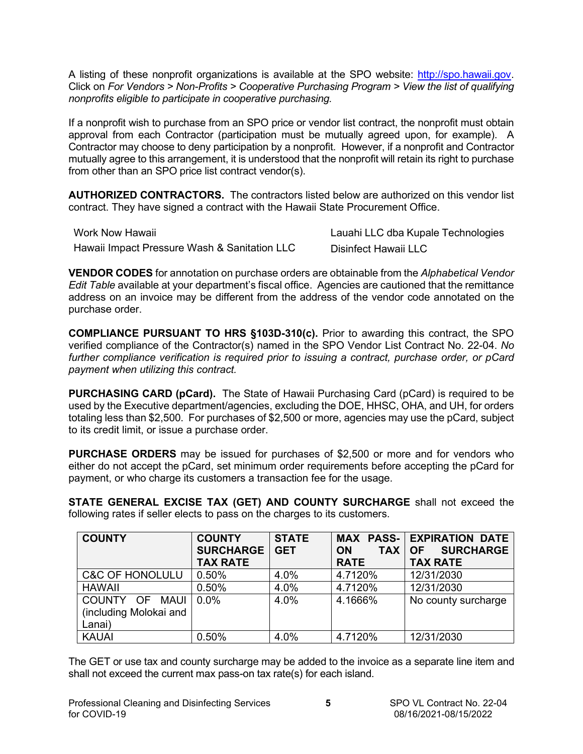<span id="page-4-0"></span>A listing of these nonprofit organizations is available at the SPO website: [http://spo.hawaii.gov.](http://spo.hawaii.gov/) Click on *For Vendors > Non-Profits > Cooperative Purchasing Program > View the list of qualifying nonprofits eligible to participate in cooperative purchasing.*

If a nonprofit wish to purchase from an SPO price or vendor list contract, the nonprofit must obtain approval from each Contractor (participation must be mutually agreed upon, for example). A Contractor may choose to deny participation by a nonprofit. However, if a nonprofit and Contractor mutually agree to this arrangement, it is understood that the nonprofit will retain its right to purchase from other than an SPO price list contract vendor(s).

**AUTHORIZED CONTRACTORS.** The contractors listed below are authorized on this vendor list contract. They have signed a contract with the Hawaii State Procurement Office.

| Work Now Hawaii                              | Lauahi LLC dba Kupale Technologies |
|----------------------------------------------|------------------------------------|
| Hawaii Impact Pressure Wash & Sanitation LLC | Disinfect Hawaii LLC               |

**VENDOR CODES** for annotation on purchase orders are obtainable from the *Alphabetical Vendor Edit Table* available at your department's fiscal office. Agencies are cautioned that the remittance address on an invoice may be different from the address of the vendor code annotated on the purchase order.

**COMPLIANCE PURSUANT TO HRS §103D-310(c).** Prior to awarding this contract, the SPO verified compliance of the Contractor(s) named in the SPO Vendor List Contract No. 22-04. *No further compliance verification is required prior to issuing a contract, purchase order, or pCard payment when utilizing this contract.*

**PURCHASING CARD (pCard).** The State of Hawaii Purchasing Card (pCard) is required to be used by the Executive department/agencies, excluding the DOE, HHSC, OHA, and UH, for orders totaling less than \$2,500. For purchases of \$2,500 or more, agencies may use the pCard, subject to its credit limit, or issue a purchase order.

**PURCHASE ORDERS** may be issued for purchases of \$2,500 or more and for vendors who either do not accept the pCard, set minimum order requirements before accepting the pCard for payment, or who charge its customers a transaction fee for the usage.

**STATE GENERAL EXCISE TAX (GET) AND COUNTY SURCHARGE** shall not exceed the following rates if seller elects to pass on the charges to its customers.

| <b>COUNTY</b>                                      | <b>COUNTY</b><br><b>SURCHARGE</b><br><b>TAX RATE</b> | <b>STATE</b><br><b>GET</b> | <b>TAX</b><br><b>ON</b><br><b>RATE</b> | <b>MAX PASS- EXPIRATION DATE</b><br><b>SURCHARGE</b><br><b>OF</b><br><b>TAX RATE</b> |
|----------------------------------------------------|------------------------------------------------------|----------------------------|----------------------------------------|--------------------------------------------------------------------------------------|
| <b>C&amp;C OF HONOLULU</b>                         | 0.50%                                                | 4.0%                       | 4.7120%                                | 12/31/2030                                                                           |
| <b>HAWAII</b>                                      | 0.50%                                                | 4.0%                       | 4.7120%                                | 12/31/2030                                                                           |
| COUNTY OF MAUI<br>(including Molokai and<br>Lanai) | $0.0\%$                                              | 4.0%                       | 4.1666%                                | No county surcharge                                                                  |
| <b>KAUAI</b>                                       | 0.50%                                                | 4.0%                       | 4.7120%                                | 12/31/2030                                                                           |

The GET or use tax and county surcharge may be added to the invoice as a separate line item and shall not exceed the current max pass-on tax rate(s) for each island.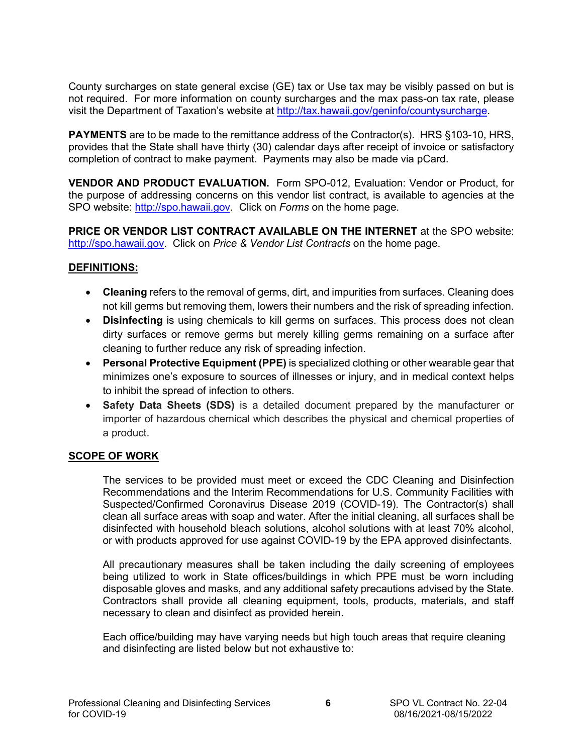<span id="page-5-0"></span>County surcharges on state general excise (GE) tax or Use tax may be visibly passed on but is not required. For more information on county surcharges and the max pass-on tax rate, please visit the Department of Taxation's website at [http://tax.hawaii.gov/geninfo/countysurcharge.](http://tax.hawaii.gov/geninfo/countysurcharge)

**PAYMENTS** are to be made to the remittance address of the Contractor(s). HRS §103-10, HRS, provides that the State shall have thirty (30) calendar days after receipt of invoice or satisfactory completion of contract to make payment. Payments may also be made via pCard.

**VENDOR AND PRODUCT EVALUATION.** Form SPO-012, Evaluation: Vendor or Product, for the purpose of addressing concerns on this vendor list contract, is available to agencies at the SPO website: [http://spo.hawaii.gov.](http://spo.hawaii.gov/) Click on *Forms* on the home page.

**PRICE OR VENDOR LIST CONTRACT AVAILABLE ON THE INTERNET** at the SPO website: [http://spo.hawaii.gov.](http://spo.hawaii.gov/) Click on *Price & Vendor List Contracts* on the home page.

#### **DEFINITIONS:**

- **Cleaning** refers to the removal of germs, dirt, and impurities from surfaces. Cleaning does not kill germs but removing them, lowers their numbers and the risk of spreading infection.
- **Disinfecting** is using chemicals to kill germs on surfaces. This process does not clean dirty surfaces or remove germs but merely killing germs remaining on a surface after cleaning to further reduce any risk of spreading infection.
- **Personal Protective Equipment (PPE)** is specialized clothing or other wearable gear that minimizes one's exposure to sources of illnesses or injury, and in medical context helps to inhibit the spread of infection to others.
- **Safety Data Sheets (SDS)** is a detailed document prepared by the manufacturer or importer of hazardous chemical which describes the physical and chemical properties of a product.

#### **SCOPE OF WORK**

The services to be provided must meet or exceed the CDC Cleaning and Disinfection Recommendations and the Interim Recommendations for U.S. Community Facilities with Suspected/Confirmed Coronavirus Disease 2019 (COVID-19). The Contractor(s) shall clean all surface areas with soap and water. After the initial cleaning, all surfaces shall be disinfected with household bleach solutions, alcohol solutions with at least 70% alcohol, or with products approved for use against COVID-19 by the EPA approved disinfectants.

All precautionary measures shall be taken including the daily screening of employees being utilized to work in State offices/buildings in which PPE must be worn including disposable gloves and masks, and any additional safety precautions advised by the State. Contractors shall provide all cleaning equipment, tools, products, materials, and staff necessary to clean and disinfect as provided herein.

Each office/building may have varying needs but high touch areas that require cleaning and disinfecting are listed below but not exhaustive to: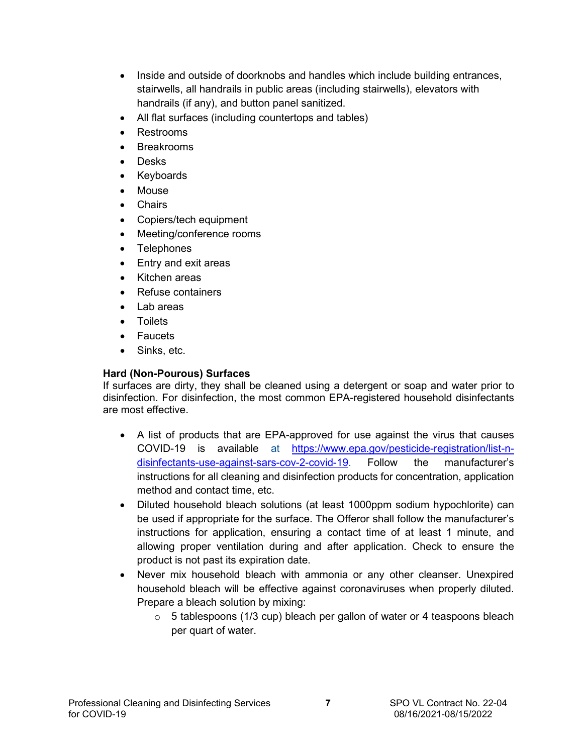- Inside and outside of doorknobs and handles which include building entrances, stairwells, all handrails in public areas (including stairwells), elevators with handrails (if any), and button panel sanitized.
- All flat surfaces (including countertops and tables)
- Restrooms
- Breakrooms
- Desks
- Keyboards
- **Mouse**
- Chairs
- Copiers/tech equipment
- Meeting/conference rooms
- Telephones
- Entry and exit areas
- Kitchen areas
- Refuse containers
- Lab areas
- Toilets
- Faucets
- Sinks, etc.

## **Hard (Non-Pourous) Surfaces**

If surfaces are dirty, they shall be cleaned using a detergent or soap and water prior to disinfection. For disinfection, the most common EPA-registered household disinfectants are most effective.

- A list of products that are EPA-approved for use against the virus that causes COVID-19 is available at [https://www.epa.gov/pesticide-registration/list-n](https://www.epa.gov/pesticide-registration/list-n-disinfectants-use-against-sars-cov-2-covid-19)[disinfectants-use-against-sars-cov-2-covid-19.](https://www.epa.gov/pesticide-registration/list-n-disinfectants-use-against-sars-cov-2-covid-19) Follow the manufacturer's instructions for all cleaning and disinfection products for concentration, application method and contact time, etc.
- Diluted household bleach solutions (at least 1000ppm sodium hypochlorite) can be used if appropriate for the surface. The Offeror shall follow the manufacturer's instructions for application, ensuring a contact time of at least 1 minute, and allowing proper ventilation during and after application. Check to ensure the product is not past its expiration date.
- Never mix household bleach with ammonia or any other cleanser. Unexpired household bleach will be effective against coronaviruses when properly diluted. Prepare a bleach solution by mixing:
	- $\circ$  5 tablespoons (1/3 cup) bleach per gallon of water or 4 teaspoons bleach per quart of water.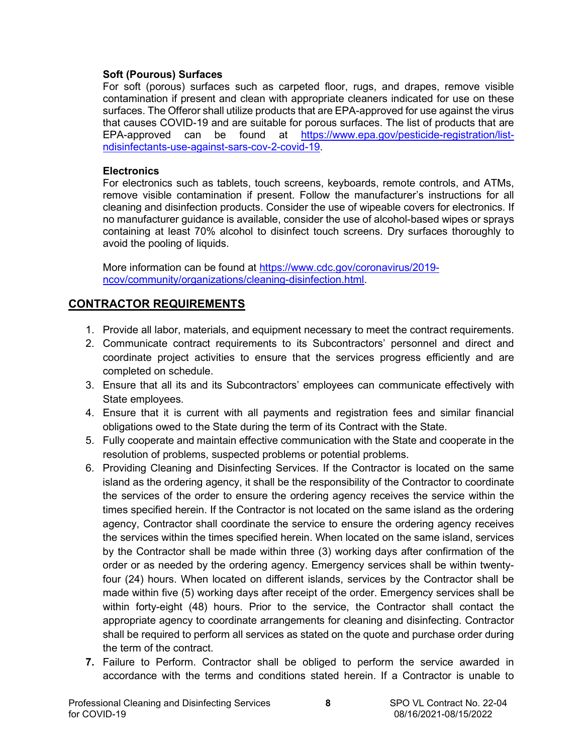## <span id="page-7-0"></span>**Soft (Pourous) Surfaces**

For soft (porous) surfaces such as carpeted floor, rugs, and drapes, remove visible contamination if present and clean with appropriate cleaners indicated for use on these surfaces. The Offeror shall utilize products that are EPA-approved for use against the virus that causes COVID-19 and are suitable for porous surfaces. The list of products that are EPA-approved can be found at [https://www.epa.gov/pesticide-registration/list](https://www.epa.gov/pesticide-registration/list-ndisinfectants-use-against-sars-cov-2-covid-19)[ndisinfectants-use-against-sars-cov-2-covid-19.](https://www.epa.gov/pesticide-registration/list-ndisinfectants-use-against-sars-cov-2-covid-19)

### **Electronics**

For electronics such as tablets, touch screens, keyboards, remote controls, and ATMs, remove visible contamination if present. Follow the manufacturer's instructions for all cleaning and disinfection products. Consider the use of wipeable covers for electronics. If no manufacturer guidance is available, consider the use of alcohol-based wipes or sprays containing at least 70% alcohol to disinfect touch screens. Dry surfaces thoroughly to avoid the pooling of liquids.

More information can be found at [https://www.cdc.gov/coronavirus/2019](https://www.cdc.gov/coronavirus/2019-ncov/community/organizations/cleaning-disinfection.html) [ncov/community/organizations/cleaning-disinfection.html.](https://www.cdc.gov/coronavirus/2019-ncov/community/organizations/cleaning-disinfection.html)

## **CONTRACTOR REQUIREMENTS**

- 1. Provide all labor, materials, and equipment necessary to meet the contract requirements.
- 2. Communicate contract requirements to its Subcontractors' personnel and direct and coordinate project activities to ensure that the services progress efficiently and are completed on schedule.
- 3. Ensure that all its and its Subcontractors' employees can communicate effectively with State employees.
- 4. Ensure that it is current with all payments and registration fees and similar financial obligations owed to the State during the term of its Contract with the State.
- 5. Fully cooperate and maintain effective communication with the State and cooperate in the resolution of problems, suspected problems or potential problems.
- 6. Providing Cleaning and Disinfecting Services. If the Contractor is located on the same island as the ordering agency, it shall be the responsibility of the Contractor to coordinate the services of the order to ensure the ordering agency receives the service within the times specified herein. If the Contractor is not located on the same island as the ordering agency, Contractor shall coordinate the service to ensure the ordering agency receives the services within the times specified herein. When located on the same island, services by the Contractor shall be made within three (3) working days after confirmation of the order or as needed by the ordering agency. Emergency services shall be within twentyfour (24) hours. When located on different islands, services by the Contractor shall be made within five (5) working days after receipt of the order. Emergency services shall be within forty-eight (48) hours. Prior to the service, the Contractor shall contact the appropriate agency to coordinate arrangements for cleaning and disinfecting. Contractor shall be required to perform all services as stated on the quote and purchase order during the term of the contract.
- **7.** Failure to Perform. Contractor shall be obliged to perform the service awarded in accordance with the terms and conditions stated herein. If a Contractor is unable to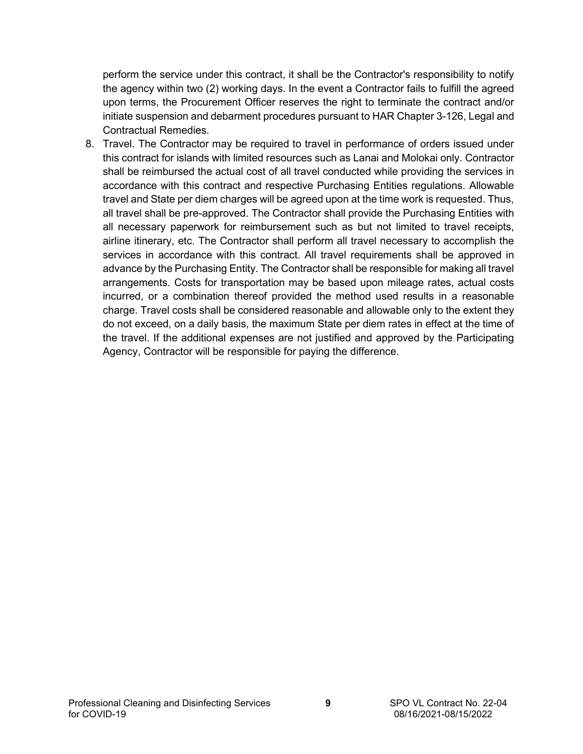perform the service under this contract, it shall be the Contractor's responsibility to notify the agency within two (2) working days. In the event a Contractor fails to fulfill the agreed upon terms, the Procurement Officer reserves the right to terminate the contract and/or initiate suspension and debarment procedures pursuant to HAR Chapter 3-126, Legal and Contractual Remedies.

8. Travel. The Contractor may be required to travel in performance of orders issued under this contract for islands with limited resources such as Lanai and Molokai only. Contractor shall be reimbursed the actual cost of all travel conducted while providing the services in accordance with this contract and respective Purchasing Entities regulations. Allowable travel and State per diem charges will be agreed upon at the time work is requested. Thus, all travel shall be pre-approved. The Contractor shall provide the Purchasing Entities with all necessary paperwork for reimbursement such as but not limited to travel receipts, airline itinerary, etc. The Contractor shall perform all travel necessary to accomplish the services in accordance with this contract. All travel requirements shall be approved in advance by the Purchasing Entity. The Contractor shall be responsible for making all travel arrangements. Costs for transportation may be based upon mileage rates, actual costs incurred, or a combination thereof provided the method used results in a reasonable charge. Travel costs shall be considered reasonable and allowable only to the extent they do not exceed, on a daily basis, the maximum State per diem rates in effect at the time of the travel. If the additional expenses are not justified and approved by the Participating Agency, Contractor will be responsible for paying the difference.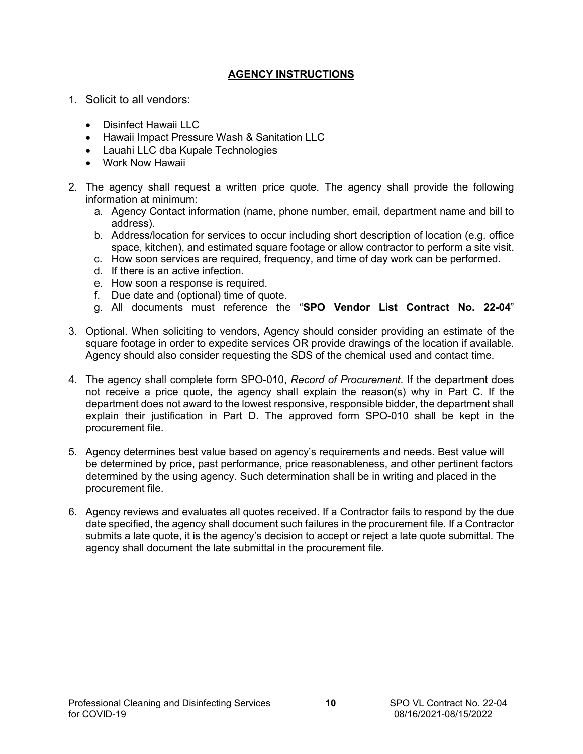## **AGENCY INSTRUCTIONS**

- <span id="page-9-0"></span>1. Solicit to all vendors:
	- Disinfect Hawaii LLC
	- Hawaii Impact Pressure Wash & Sanitation LLC
	- Lauahi LLC dba Kupale Technologies
	- Work Now Hawaii
- 2. The agency shall request a written price quote. The agency shall provide the following information at minimum:
	- a. Agency Contact information (name, phone number, email, department name and bill to address).
	- b. Address/location for services to occur including short description of location (e.g. office space, kitchen), and estimated square footage or allow contractor to perform a site visit.
	- c. How soon services are required, frequency, and time of day work can be performed.
	- d. If there is an active infection.
	- e. How soon a response is required.
	- f. Due date and (optional) time of quote.
	- g. All documents must reference the "**SPO Vendor List Contract No. 22-04**"
- 3. Optional. When soliciting to vendors, Agency should consider providing an estimate of the square footage in order to expedite services OR provide drawings of the location if available. Agency should also consider requesting the SDS of the chemical used and contact time.
- 4. The agency shall complete form SPO-010, *Record of Procurement*. If the department does not receive a price quote, the agency shall explain the reason(s) why in Part C. If the department does not award to the lowest responsive, responsible bidder, the department shall explain their justification in Part D. The approved form SPO-010 shall be kept in the procurement file.
- 5. Agency determines best value based on agency's requirements and needs. Best value will be determined by price, past performance, price reasonableness, and other pertinent factors determined by the using agency. Such determination shall be in writing and placed in the procurement file.
- 6. Agency reviews and evaluates all quotes received. If a Contractor fails to respond by the due date specified, the agency shall document such failures in the procurement file. If a Contractor submits a late quote, it is the agency's decision to accept or reject a late quote submittal. The agency shall document the late submittal in the procurement file.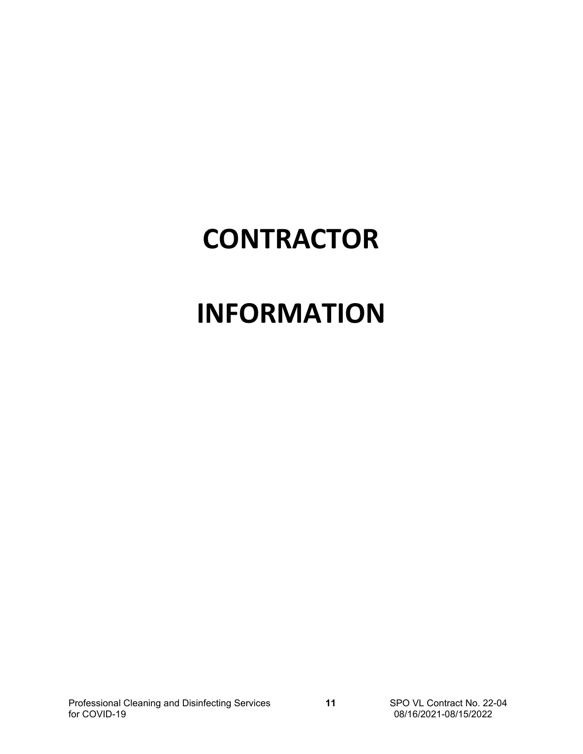# **CONTRACTOR**

# **INFORMATION**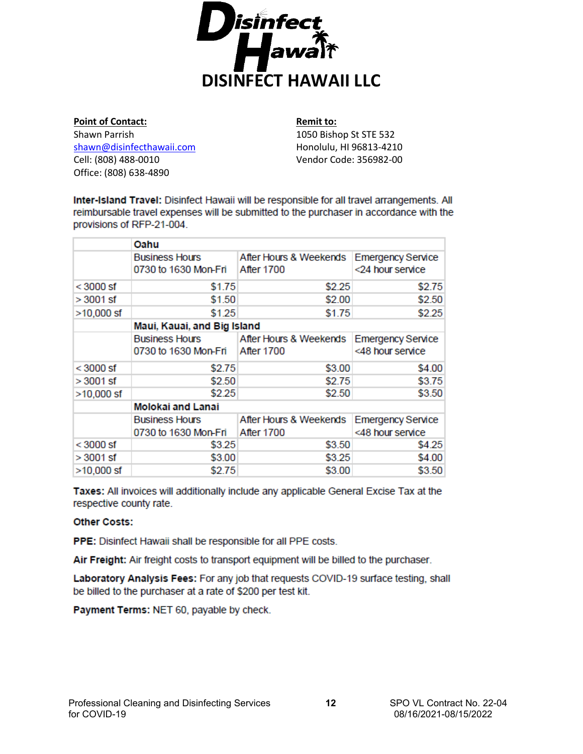

<span id="page-11-0"></span>**Point of Contact:** Shawn Parrish [shawn@disinfecthawaii.com](mailto:shawn@disinfecthawaii.com) Cell: (808) 488-0010 Office: (808) 638-4890

**Remit to:**

1050 Bishop St STE 532 Honolulu, HI 96813-4210 Vendor Code: 356982-00

Inter-Island Travel: Disinfect Hawaii will be responsible for all travel arrangements. All reimbursable travel expenses will be submitted to the purchaser in accordance with the provisions of RFP-21-004.

|              | Oahu                        |                        |                          |  |  |
|--------------|-----------------------------|------------------------|--------------------------|--|--|
|              | <b>Business Hours</b>       | After Hours & Weekends | <b>Emergency Service</b> |  |  |
|              | 0730 to 1630 Mon-Fri        | <b>After 1700</b>      | <24 hour service         |  |  |
| $<$ 3000 sf  | \$1.75                      | \$2.25                 | \$2.75                   |  |  |
| > 3001 sf    | \$1.50                      | \$2.00                 | \$2.50                   |  |  |
| $>10,000$ sf | \$1.25                      | \$1.75                 | \$2.25                   |  |  |
|              | Maui, Kauai, and Big Island |                        |                          |  |  |
|              | Business Hours              | After Hours & Weekends | <b>Emergency Service</b> |  |  |
|              | 0730 to 1630 Mon-Fri        | <b>After 1700</b>      | <48 hour service         |  |  |
| $<$ 3000 sf  | \$2.75                      | \$3.00                 | \$4.00                   |  |  |
| $>3001$ sf   | \$2.50                      | \$2.75                 | \$3.75                   |  |  |
| $>10,000$ sf | \$2.25                      | \$2.50                 | \$3.50                   |  |  |
|              | <b>Molokai and Lanai</b>    |                        |                          |  |  |
|              | <b>Business Hours</b>       | After Hours & Weekends | <b>Emergency Service</b> |  |  |
|              | 0730 to 1630 Mon-Fri        | <b>After 1700</b>      | <48 hour service         |  |  |
| $<$ 3000 sf  | \$3.25                      | \$3.50                 | \$4.25                   |  |  |
| > 3001 sf    | \$3.00                      | \$3.25                 | \$4.00                   |  |  |
| $>10,000$ sf | \$2.75                      | \$3.00                 | \$3.50                   |  |  |

Taxes: All invoices will additionally include any applicable General Excise Tax at the respective county rate.

#### **Other Costs:**

PPE: Disinfect Hawaii shall be responsible for all PPE costs.

Air Freight: Air freight costs to transport equipment will be billed to the purchaser.

Laboratory Analysis Fees: For any job that requests COVID-19 surface testing, shall be billed to the purchaser at a rate of \$200 per test kit.

Payment Terms: NET 60, payable by check.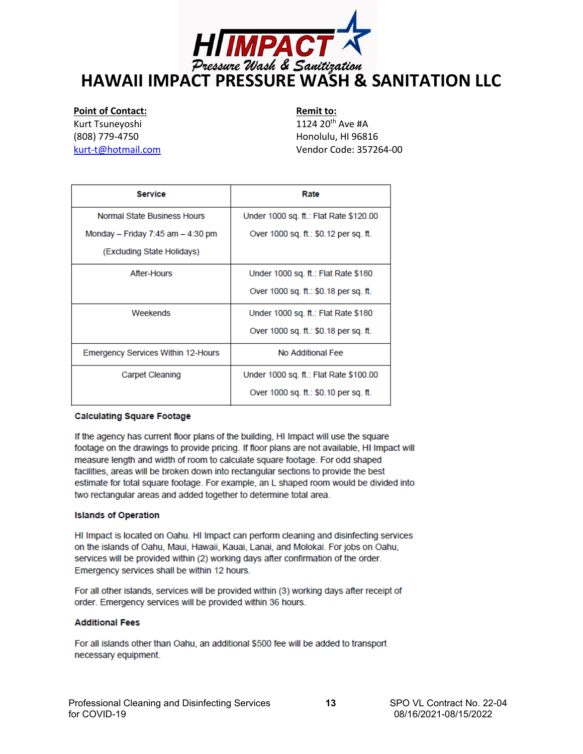<span id="page-12-0"></span>

#### **Point of Contact:**

Kurt Tsuneyoshi (808) 779-4750 [kurt-t@hotmail.com](mailto:kurt-t@hotmail.com)

**Remit to:** 1124 20th Ave #A Honolulu, HI 96816 Vendor Code: 357264-00

| <b>Service</b>                     | Rate                                   |
|------------------------------------|----------------------------------------|
| Normal State Business Hours        | Under 1000 sq. ft.: Flat Rate \$120.00 |
| Monday – Friday 7:45 am – 4:30 pm  | Over 1000 sq. ft.: \$0.12 per sq. ft.  |
| (Excluding State Holidays)         |                                        |
| After-Hours                        | Under 1000 sq. ft.: Flat Rate \$180    |
|                                    | Over 1000 sq. ft.: \$0.18 per sq. ft.  |
| Weekends                           | Under 1000 sq. ft.: Flat Rate \$180    |
|                                    | Over 1000 sq. ft.: \$0.18 per sq. ft.  |
| Emergency Services Within 12-Hours | No Additional Fee                      |
| Carpet Cleaning                    | Under 1000 sq. ft.: Flat Rate \$100.00 |
|                                    | Over 1000 sq. ft.: \$0.10 per sq. ft.  |

#### **Calculating Square Footage**

If the agency has current floor plans of the building, HI Impact will use the square footage on the drawings to provide pricing. If floor plans are not available, HI Impact will measure length and width of room to calculate square footage. For odd shaped facilities, areas will be broken down into rectangular sections to provide the best estimate for total square footage. For example, an L shaped room would be divided into two rectangular areas and added together to determine total area.

#### **Islands of Operation**

HI Impact is located on Oahu. HI Impact can perform cleaning and disinfecting services on the islands of Oahu, Maui, Hawaii, Kauai, Lanai, and Molokai. For jobs on Oahu, services will be provided within (2) working days after confirmation of the order. Emergency services shall be within 12 hours.

For all other islands, services will be provided within (3) working days after receipt of order. Emergency services will be provided within 36 hours.

#### **Additional Fees**

For all islands other than Oahu, an additional \$500 fee will be added to transport necessary equipment.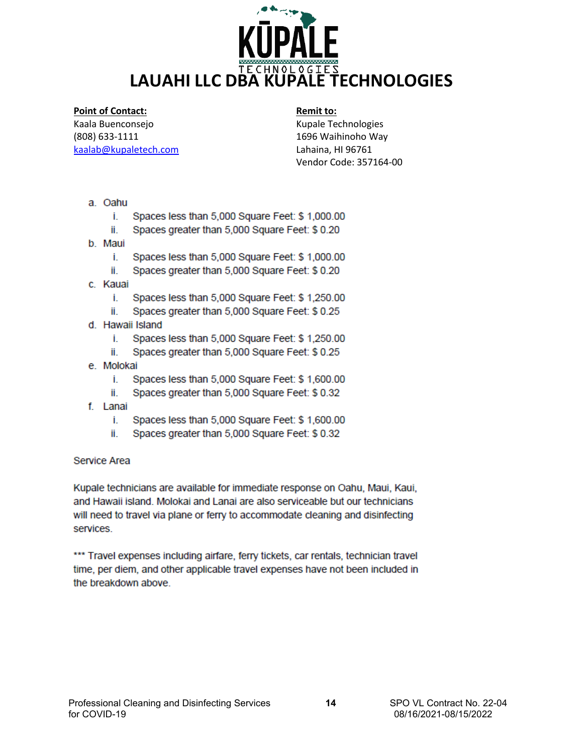<span id="page-13-0"></span>

#### **Point of Contact:**

Kaala Buenconsejo [\(808\) 633-1111](mailto:808)%20633-1111kaalab@kupaletech.com) [kaalab@kupaletech.com](mailto:808)%20633-1111kaalab@kupaletech.com) 

## **Remit to:**

Kupale Technologies 1696 Waihinoho Way Lahaina, HI 96761 Vendor Code: 357164-00

- a. Oahu
	- Î. Spaces less than 5,000 Square Feet: \$ 1,000.00
	- ii. Spaces greater than 5,000 Square Feet: \$0.20
- b. Maui
	- Î. Spaces less than 5,000 Square Feet: \$ 1,000.00
	- Spaces greater than 5,000 Square Feet: \$ 0.20 ii.
- c. Kauai
	- Î. Spaces less than 5,000 Square Feet: \$ 1,250.00
	- ii. Spaces greater than 5,000 Square Feet: \$ 0.25
- d. Hawaii Island
	- Î. Spaces less than 5,000 Square Feet: \$ 1,250.00
	- Spaces greater than 5,000 Square Feet: \$ 0.25 İİ.
- e. Molokai
	- Î. Spaces less than 5,000 Square Feet: \$ 1,600.00
	- Spaces greater than 5,000 Square Feet: \$ 0.32 ii.
- f. Lanai
	- Î. Spaces less than 5,000 Square Feet: \$ 1,600.00
	- Spaces greater than 5,000 Square Feet: \$ 0.32 ii.

#### Service Area

Kupale technicians are available for immediate response on Oahu, Maui, Kaui, and Hawaii island. Molokai and Lanai are also serviceable but our technicians will need to travel via plane or ferry to accommodate cleaning and disinfecting services.

\*\*\* Travel expenses including airfare, ferry tickets, car rentals, technician travel time, per diem, and other applicable travel expenses have not been included in the breakdown above.